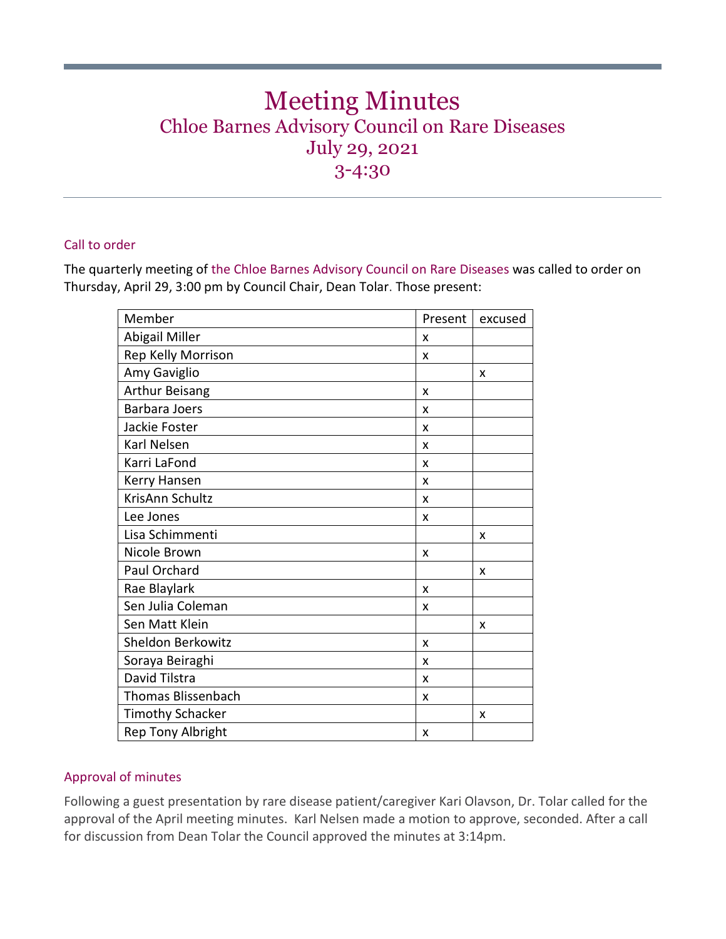# Meeting Minutes Chloe Barnes Advisory Council on Rare Diseases July 29, 2021 3-4:30

# Call to order

The quarterly meeting of the Chloe Barnes Advisory Council on Rare Diseases was called to order on Thursday, April 29, 3:00 pm by Council Chair, Dean Tolar. Those present:

| Member                    | Present | excused |
|---------------------------|---------|---------|
| Abigail Miller            | x       |         |
| Rep Kelly Morrison        | X       |         |
| Amy Gaviglio              |         | x       |
| Arthur Beisang            | X       |         |
| <b>Barbara Joers</b>      | X       |         |
| Jackie Foster             | X       |         |
| Karl Nelsen               | X       |         |
| Karri LaFond              | X       |         |
| Kerry Hansen              | X       |         |
| KrisAnn Schultz           | X       |         |
| Lee Jones                 | X       |         |
| Lisa Schimmenti           |         | X       |
| Nicole Brown              | X       |         |
| Paul Orchard              |         | X       |
| Rae Blaylark              | X       |         |
| Sen Julia Coleman         | X       |         |
| Sen Matt Klein            |         | X       |
| Sheldon Berkowitz         | X       |         |
| Soraya Beiraghi           | X       |         |
| David Tilstra             | X       |         |
| <b>Thomas Blissenbach</b> | X       |         |
| <b>Timothy Schacker</b>   |         | X       |
| <b>Rep Tony Albright</b>  | X       |         |

#### Approval of minutes

Following a guest presentation by rare disease patient/caregiver Kari Olavson, Dr. Tolar called for the approval of the April meeting minutes. Karl Nelsen made a motion to approve, seconded. After a call for discussion from Dean Tolar the Council approved the minutes at 3:14pm.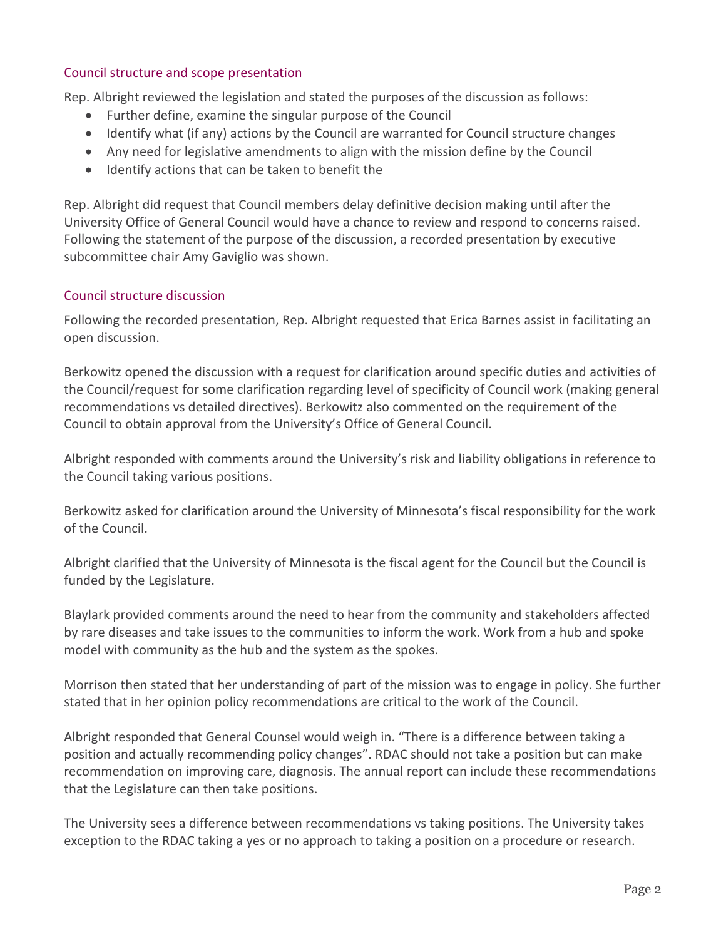## Council structure and scope presentation

Rep. Albright reviewed the legislation and stated the purposes of the discussion as follows:

- Further define, examine the singular purpose of the Council
- Identify what (if any) actions by the Council are warranted for Council structure changes
- Any need for legislative amendments to align with the mission define by the Council
- Identify actions that can be taken to benefit the

Rep. Albright did request that Council members delay definitive decision making until after the University Office of General Council would have a chance to review and respond to concerns raised. Following the statement of the purpose of the discussion, a recorded presentation by executive subcommittee chair Amy Gaviglio was shown.

# Council structure discussion

Following the recorded presentation, Rep. Albright requested that Erica Barnes assist in facilitating an open discussion.

Berkowitz opened the discussion with a request for clarification around specific duties and activities of the Council/request for some clarification regarding level of specificity of Council work (making general recommendations vs detailed directives). Berkowitz also commented on the requirement of the Council to obtain approval from the University's Office of General Council.

Albright responded with comments around the University's risk and liability obligations in reference to the Council taking various positions.

Berkowitz asked for clarification around the University of Minnesota's fiscal responsibility for the work of the Council.

Albright clarified that the University of Minnesota is the fiscal agent for the Council but the Council is funded by the Legislature.

Blaylark provided comments around the need to hear from the community and stakeholders affected by rare diseases and take issues to the communities to inform the work. Work from a hub and spoke model with community as the hub and the system as the spokes.

Morrison then stated that her understanding of part of the mission was to engage in policy. She further stated that in her opinion policy recommendations are critical to the work of the Council.

Albright responded that General Counsel would weigh in. "There is a difference between taking a position and actually recommending policy changes". RDAC should not take a position but can make recommendation on improving care, diagnosis. The annual report can include these recommendations that the Legislature can then take positions.

The University sees a difference between recommendations vs taking positions. The University takes exception to the RDAC taking a yes or no approach to taking a position on a procedure or research.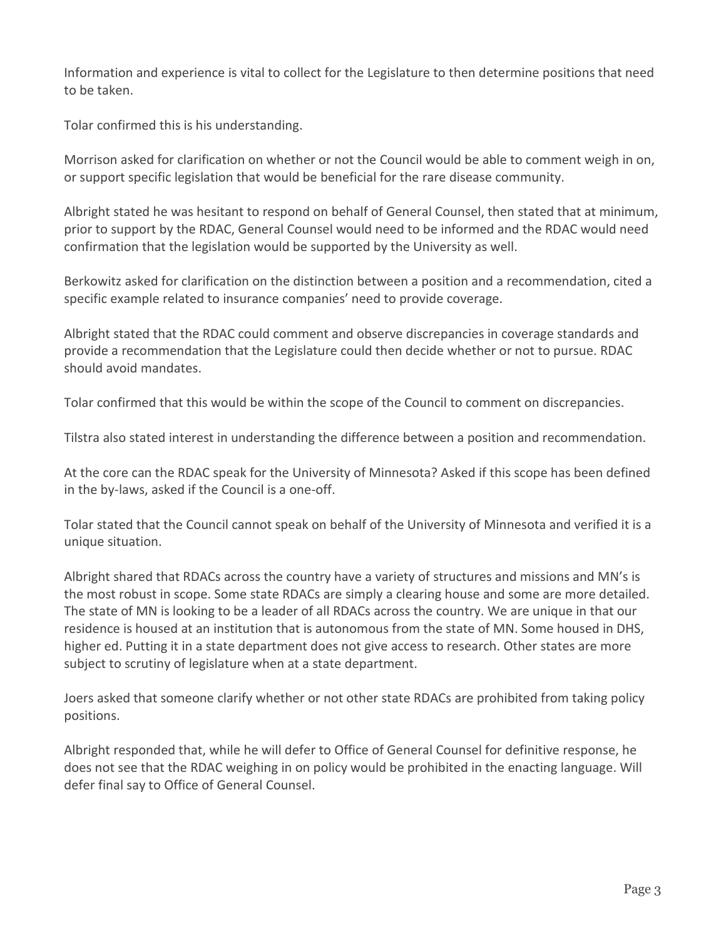Information and experience is vital to collect for the Legislature to then determine positions that need to be taken.

Tolar confirmed this is his understanding.

Morrison asked for clarification on whether or not the Council would be able to comment weigh in on, or support specific legislation that would be beneficial for the rare disease community.

Albright stated he was hesitant to respond on behalf of General Counsel, then stated that at minimum, prior to support by the RDAC, General Counsel would need to be informed and the RDAC would need confirmation that the legislation would be supported by the University as well.

Berkowitz asked for clarification on the distinction between a position and a recommendation, cited a specific example related to insurance companies' need to provide coverage.

Albright stated that the RDAC could comment and observe discrepancies in coverage standards and provide a recommendation that the Legislature could then decide whether or not to pursue. RDAC should avoid mandates.

Tolar confirmed that this would be within the scope of the Council to comment on discrepancies.

Tilstra also stated interest in understanding the difference between a position and recommendation.

At the core can the RDAC speak for the University of Minnesota? Asked if this scope has been defined in the by-laws, asked if the Council is a one-off.

Tolar stated that the Council cannot speak on behalf of the University of Minnesota and verified it is a unique situation.

Albright shared that RDACs across the country have a variety of structures and missions and MN's is the most robust in scope. Some state RDACs are simply a clearing house and some are more detailed. The state of MN is looking to be a leader of all RDACs across the country. We are unique in that our residence is housed at an institution that is autonomous from the state of MN. Some housed in DHS, higher ed. Putting it in a state department does not give access to research. Other states are more subject to scrutiny of legislature when at a state department.

Joers asked that someone clarify whether or not other state RDACs are prohibited from taking policy positions.

Albright responded that, while he will defer to Office of General Counsel for definitive response, he does not see that the RDAC weighing in on policy would be prohibited in the enacting language. Will defer final say to Office of General Counsel.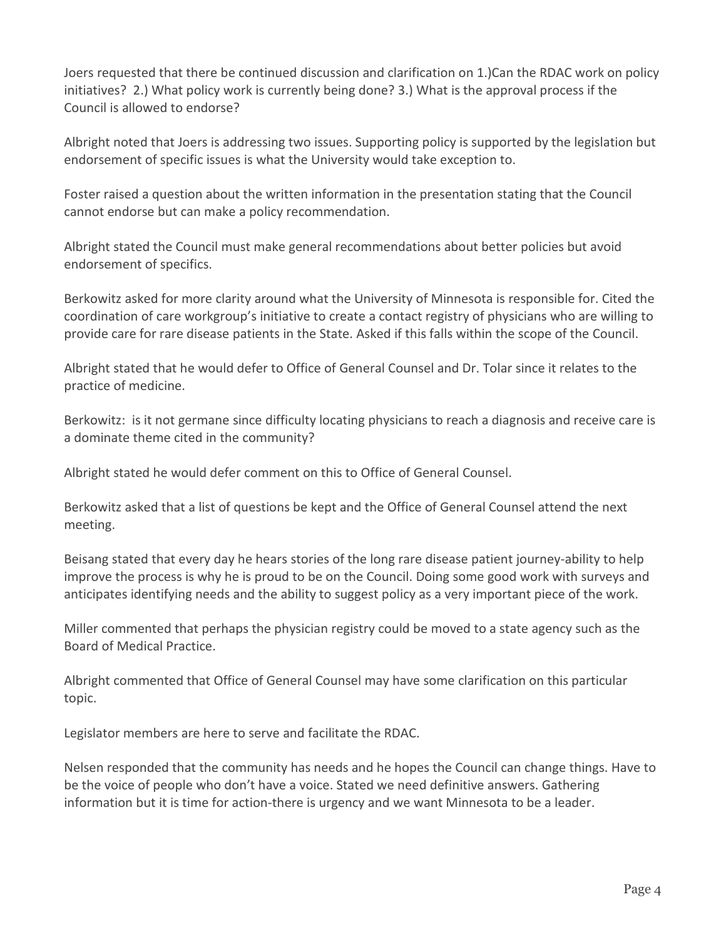Joers requested that there be continued discussion and clarification on 1.)Can the RDAC work on policy initiatives? 2.) What policy work is currently being done? 3.) What is the approval process if the Council is allowed to endorse?

Albright noted that Joers is addressing two issues. Supporting policy is supported by the legislation but endorsement of specific issues is what the University would take exception to.

Foster raised a question about the written information in the presentation stating that the Council cannot endorse but can make a policy recommendation.

Albright stated the Council must make general recommendations about better policies but avoid endorsement of specifics.

Berkowitz asked for more clarity around what the University of Minnesota is responsible for. Cited the coordination of care workgroup's initiative to create a contact registry of physicians who are willing to provide care for rare disease patients in the State. Asked if this falls within the scope of the Council.

Albright stated that he would defer to Office of General Counsel and Dr. Tolar since it relates to the practice of medicine.

Berkowitz: is it not germane since difficulty locating physicians to reach a diagnosis and receive care is a dominate theme cited in the community?

Albright stated he would defer comment on this to Office of General Counsel.

Berkowitz asked that a list of questions be kept and the Office of General Counsel attend the next meeting.

Beisang stated that every day he hears stories of the long rare disease patient journey-ability to help improve the process is why he is proud to be on the Council. Doing some good work with surveys and anticipates identifying needs and the ability to suggest policy as a very important piece of the work.

Miller commented that perhaps the physician registry could be moved to a state agency such as the Board of Medical Practice.

Albright commented that Office of General Counsel may have some clarification on this particular topic.

Legislator members are here to serve and facilitate the RDAC.

Nelsen responded that the community has needs and he hopes the Council can change things. Have to be the voice of people who don't have a voice. Stated we need definitive answers. Gathering information but it is time for action-there is urgency and we want Minnesota to be a leader.